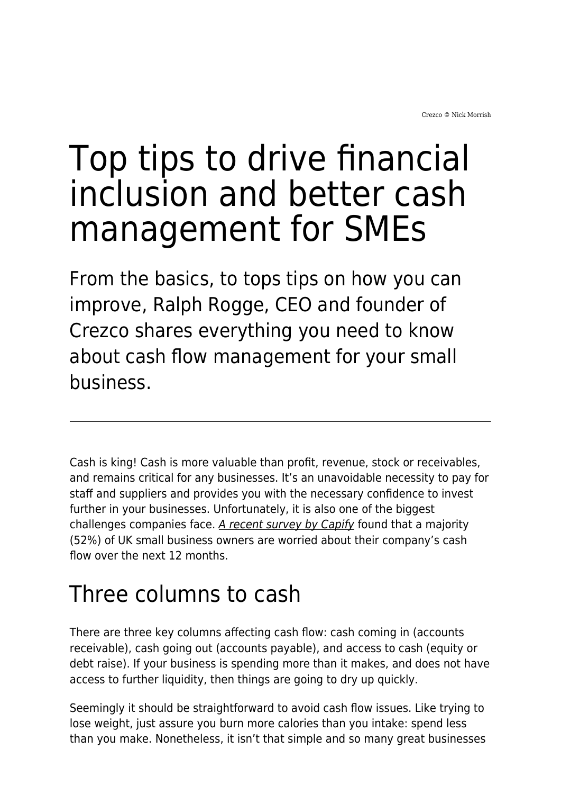## Top tips to drive financial inclusion and better cash management for SMEs

From the basics, to tops tips on how you can improve, Ralph Rogge, CEO and founder of Crezco shares everything you need to know about cash flow management for your small business.

Cash is king! Cash is more valuable than profit, revenue, stock or receivables, and remains critical for any businesses. It's an unavoidable necessity to pay for staff and suppliers and provides you with the necessary confidence to invest further in your businesses. Unfortunately, it is also one of the biggest challenges companies face. [A recent survey by Capify](https://www.capify.co.uk/) found that a majority (52%) of UK small business owners are worried about their company's cash flow over the next 12 months.

## Three columns to cash

There are three key columns affecting cash flow: cash coming in (accounts receivable), cash going out (accounts payable), and access to cash (equity or debt raise). If your business is spending more than it makes, and does not have access to further liquidity, then things are going to dry up quickly.

Seemingly it should be straightforward to avoid cash flow issues. Like trying to lose weight, just assure you burn more calories than you intake: spend less than you make. Nonetheless, it isn't that simple and so many great businesses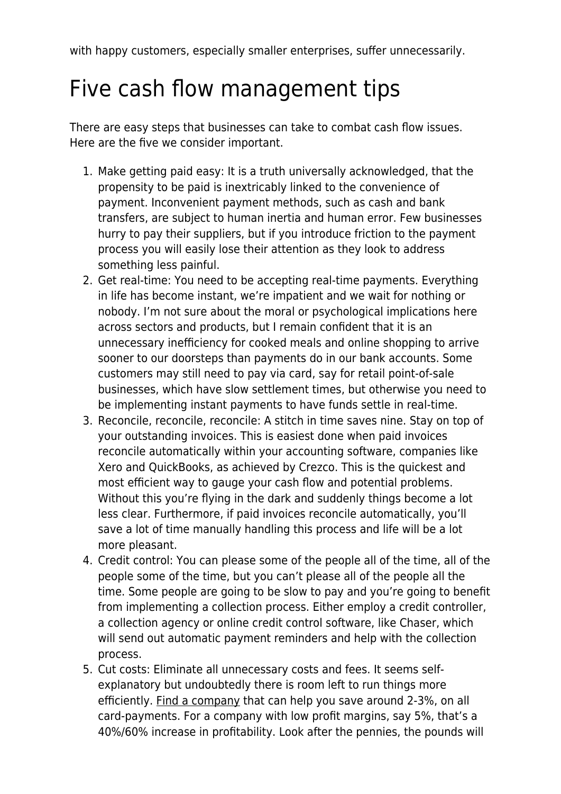with happy customers, especially smaller enterprises, suffer unnecessarily.

## Five cash flow management tips

There are easy steps that businesses can take to combat cash flow issues. Here are the five we consider important.

- 1. Make getting paid easy: It is a truth universally acknowledged, that the propensity to be paid is inextricably linked to the convenience of payment. Inconvenient payment methods, such as cash and bank transfers, are subject to human inertia and human error. Few businesses hurry to pay their suppliers, but if you introduce friction to the payment process you will easily lose their attention as they look to address something less painful.
- 2. Get real-time: You need to be accepting real-time payments. Everything in life has become instant, we're impatient and we wait for nothing or nobody. I'm not sure about the moral or psychological implications here across sectors and products, but I remain confident that it is an unnecessary inefficiency for cooked meals and online shopping to arrive sooner to our doorsteps than payments do in our bank accounts. Some customers may still need to pay via card, say for retail point-of-sale businesses, which have slow settlement times, but otherwise you need to be implementing instant payments to have funds settle in real-time.
- 3. Reconcile, reconcile, reconcile: A stitch in time saves nine. Stay on top of your outstanding invoices. This is easiest done when paid invoices reconcile automatically within your accounting software, companies like Xero and QuickBooks, as achieved by Crezco. This is the quickest and most efficient way to gauge your cash flow and potential problems. Without this you're flying in the dark and suddenly things become a lot less clear. Furthermore, if paid invoices reconcile automatically, you'll save a lot of time manually handling this process and life will be a lot more pleasant.
- 4. Credit control: You can please some of the people all of the time, all of the people some of the time, but you can't please all of the people all the time. Some people are going to be slow to pay and you're going to benefit from implementing a collection process. Either employ a credit controller, a collection agency or online credit control software, like Chaser, which will send out automatic payment reminders and help with the collection process.
- 5. Cut costs: Eliminate all unnecessary costs and fees. It seems selfexplanatory but undoubtedly there is room left to run things more efficiently. [Find a company](http://www.crezco.com/) that can help you save around 2-3%, on all card-payments. For a company with low profit margins, say 5%, that's a 40%/60% increase in profitability. Look after the pennies, the pounds will